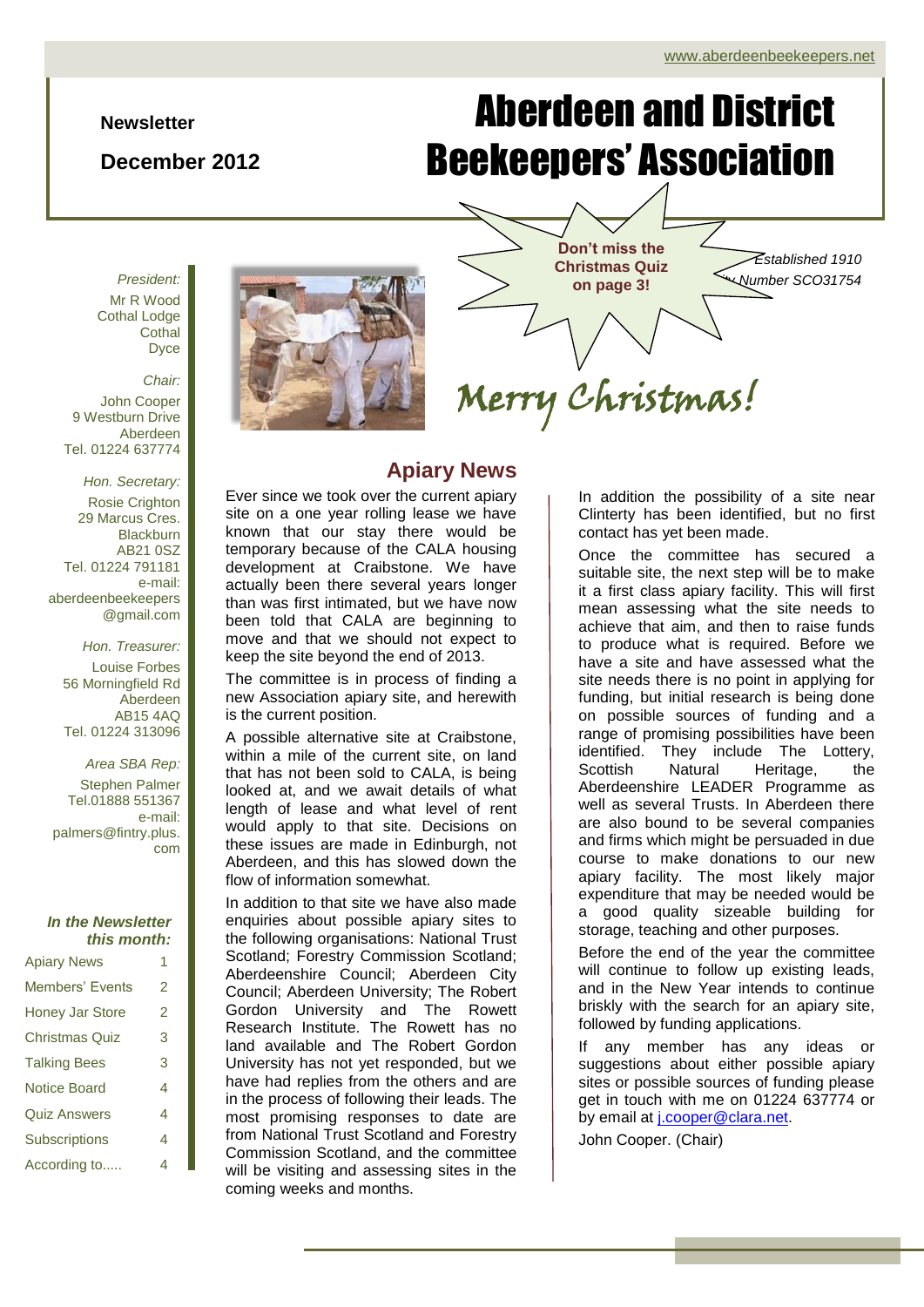#### **Newsletter**

### **December 2012**

# Aberdeen and District Beekeepers' Association

*President:* Mr R Wood Cothal Lodge **Cothal** Dyce

*Chair:* John Cooper 9 Westburn Drive Aberdeen Tel. 01224 637774

*Hon. Secretary:* Rosie Crighton 29 Marcus Cres. **Blackburn** AB21 0SZ Tel. 01224 791181 e-mail: aberdeenbeekeepers @gmail.com

*Hon. Treasurer:* Louise Forbes 56 Morningfield Rd Aberdeen AB15 4AQ Tel. 01224 313096

*Area SBA Rep:* Stephen Palmer Tel.01888 551367 e-mail: palmers@fintry.plus. com

#### *In the Newsletter this month:*

| <b>Apiary News</b>     | 1 |
|------------------------|---|
| <b>Members' Events</b> | 2 |
| <b>Honey Jar Store</b> | 2 |
| <b>Christmas Quiz</b>  | 3 |
| <b>Talking Bees</b>    | 3 |
| <b>Notice Board</b>    | 4 |
| <b>Quiz Answers</b>    | 4 |
| <b>Subscriptions</b>   | 4 |
| According to           | 4 |



## **Apiary News**

Ever since we took over the current apiary site on a one year rolling lease we have known that our stay there would be temporary because of the CALA housing development at Craibstone. We have actually been there several years longer than was first intimated, but we have now been told that CALA are beginning to move and that we should not expect to keep the site beyond the end of 2013.

The committee is in process of finding a new Association apiary site, and herewith is the current position.

A possible alternative site at Craibstone, within a mile of the current site, on land that has not been sold to CALA, is being looked at, and we await details of what length of lease and what level of rent would apply to that site. Decisions on these issues are made in Edinburgh, not Aberdeen, and this has slowed down the flow of information somewhat.

In addition to that site we have also made enquiries about possible apiary sites to the following organisations: National Trust Scotland; Forestry Commission Scotland; Aberdeenshire Council; Aberdeen City Council; Aberdeen University; The Robert Gordon University and The Rowett Research Institute. The Rowett has no land available and The Robert Gordon University has not yet responded, but we have had replies from the others and are in the process of following their leads. The most promising responses to date are from National Trust Scotland and Forestry Commission Scotland, and the committee will be visiting and assessing sites in the coming weeks and months.

**Christmas Quiz on page 3!**

**Don't miss the** 

Merry Christmas!

*Established 1910 Scottish Charity Number SCO31754*

## In addition the possibility of a site near Clinterty has been identified, but no first

contact has yet been made.

Scottish Natural Heritage, the Once the committee has secured a suitable site, the next step will be to make it a first class apiary facility. This will first mean assessing what the site needs to achieve that aim, and then to raise funds to produce what is required. Before we have a site and have assessed what the site needs there is no point in applying for funding, but initial research is being done on possible sources of funding and a range of promising possibilities have been identified. They include The Lottery, Aberdeenshire LEADER Programme as well as several Trusts. In Aberdeen there are also bound to be several companies and firms which might be persuaded in due course to make donations to our new apiary facility. The most likely major expenditure that may be needed would be a good quality sizeable building for storage, teaching and other purposes.

Before the end of the year the committee will continue to follow up existing leads, and in the New Year intends to continue briskly with the search for an apiary site, followed by funding applications.

If any member has any ideas or suggestions about either possible apiary sites or possible sources of funding please get in touch with me on 01224 637774 or by email at [j.cooper@clara.net.](mailto:j.cooper@clara.net)

John Cooper. (Chair)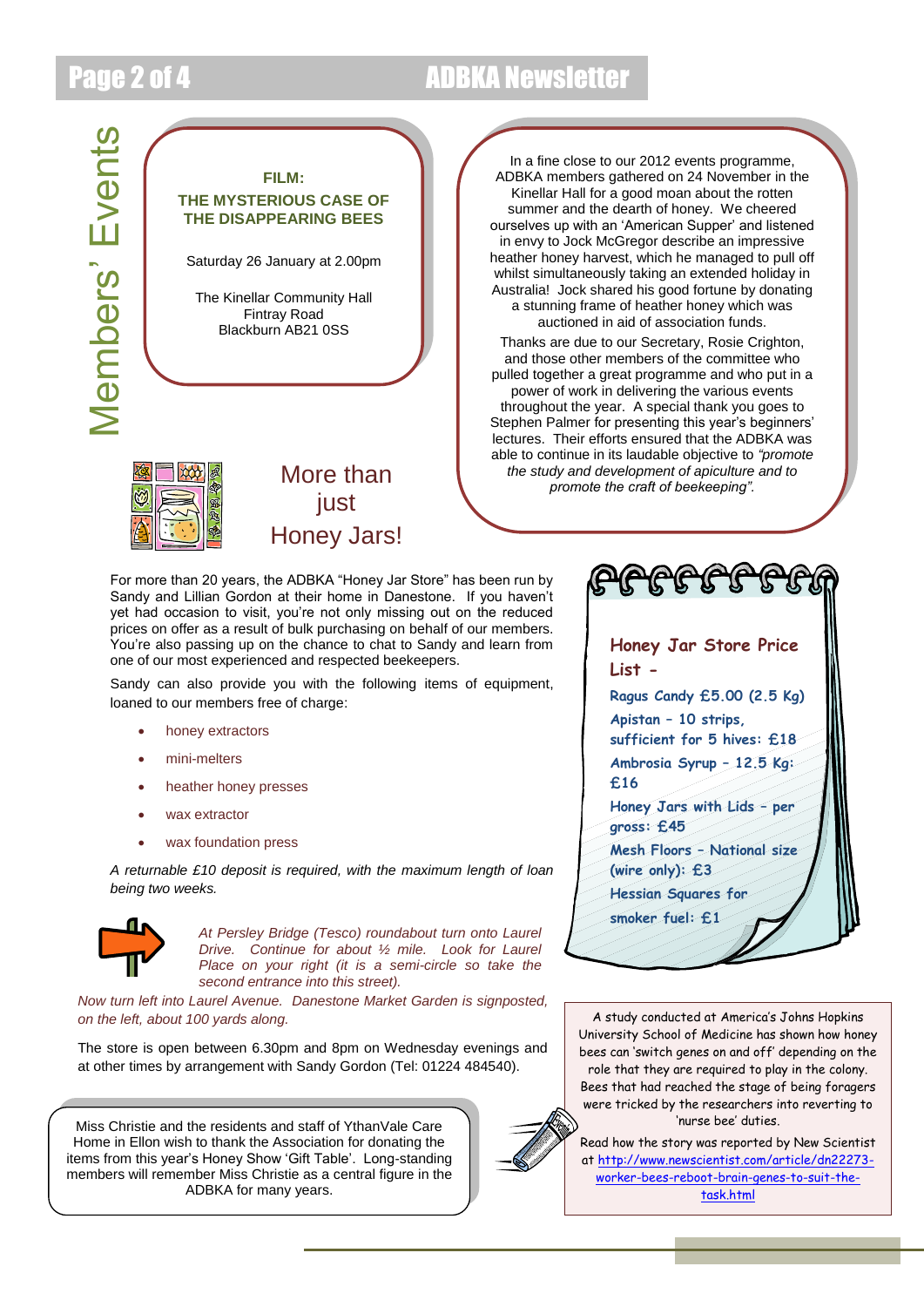## Page 2 of 4 ADBKA Newsletter





In a fine close to our 2012 events programme, ADBKA members gathered on 24 November in the Kinellar Hall for a good moan about the rotten summer and the dearth of honey. We cheered ourselves up with an 'American Supper' and listened in envy to Jock McGregor describe an impressive heather honey harvest, which he managed to pull off whilst simultaneously taking an extended holiday in Australia! Jock shared his good fortune by donating a stunning frame of heather honey which was auctioned in aid of association funds.

Thanks are due to our Secretary, Rosie Crighton, and those other members of the committee who pulled together a great programme and who put in a power of work in delivering the various events throughout the year. A special thank you goes to Stephen Palmer for presenting this year's beginners' lectures. Their efforts ensured that the ADBKA was able to continue in its laudable objective to *"promote the study and development of apiculture and to promote the craft of beekeeping".*

For more than 20 years, the ADBKA "Honey Jar Store" has been run by Sandy and Lillian Gordon at their home in Danestone. If you haven't yet had occasion to visit, you're not only missing out on the reduced prices on offer as a result of bulk purchasing on behalf of our members. You're also passing up on the chance to chat to Sandy and learn from one of our most experienced and respected beekeepers.

iust

Honey Jars!

Sandy can also provide you with the following items of equipment, loaned to our members free of charge:

- honey extractors
- mini-melters
- heather honey presses
- wax extractor
- wax foundation press

*A returnable £10 deposit is required, with the maximum length of loan being two weeks.*



*At Persley Bridge (Tesco) roundabout turn onto Laurel Drive. Continue for about ½ mile. Look for Laurel Place on your right (it is a semi-circle so take the second entrance into this street).* 

*Now turn left into Laurel Avenue. Danestone Market Garden is signposted, on the left, about 100 yards along.*

The store is open between 6.30pm and 8pm on Wednesday evenings and at other times by arrangement with Sandy Gordon (Tel: 01224 484540).

Miss Christie and the residents and staff of YthanVale Care Home in Ellon wish to thank the Association for donating the items from this year's Honey Show 'Gift Table'. Long-standing members will remember Miss Christie as a central figure in the ADBKA for many years.



A study conducted at America's Johns Hopkins University School of Medicine has shown how honey bees can 'switch genes on and off' depending on the role that they are required to play in the colony. Bees that had reached the stage of being foragers were tricked by the researchers into reverting to 'nurse bee' duties.

Read how the story was reported by New Scientist at [http://www.newscientist.com/article/dn22273](http://www.newscientist.com/article/dn22273-worker-bees-reboot-brain-genes-to-suit-the-task.html) [worker-bees-reboot-brain-genes-to-suit-the](http://www.newscientist.com/article/dn22273-worker-bees-reboot-brain-genes-to-suit-the-task.html)[task.html](http://www.newscientist.com/article/dn22273-worker-bees-reboot-brain-genes-to-suit-the-task.html)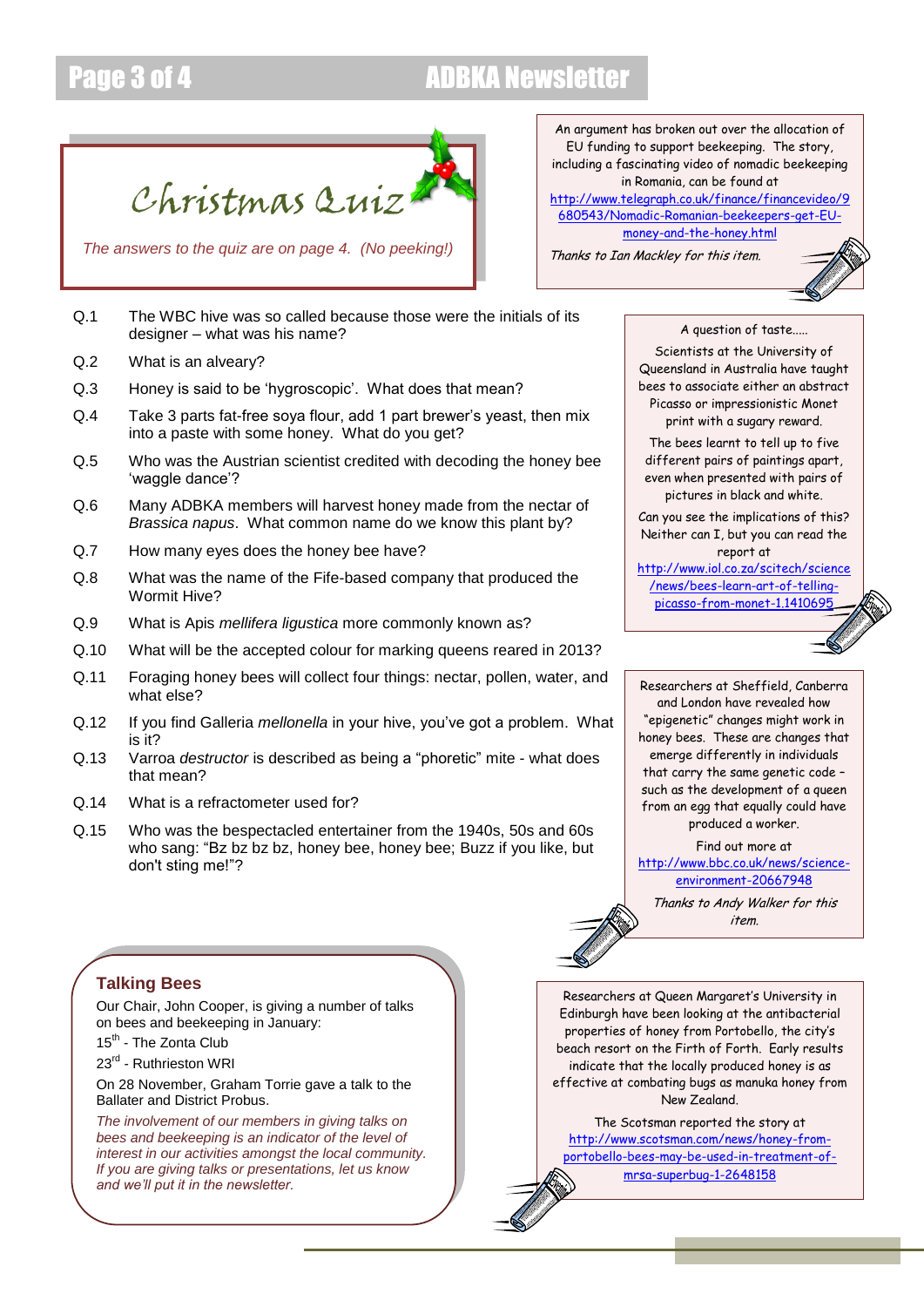## Page 3 of 4 ADBKA Newsletter

Christmas Quiz

*The answers to the quiz are on page 4. (No peeking!)*

- Q.1 The WBC hive was so called because those were the initials of its designer – what was his name?
- Q.2 What is an alveary?
- Q.3 Honey is said to be 'hygroscopic'. What does that mean?
- Q.4 Take 3 parts fat-free soya flour, add 1 part brewer's yeast, then mix into a paste with some honey. What do you get?
- Q.5 Who was the Austrian scientist credited with decoding the honey bee 'waggle dance'?
- Q.6 Many ADBKA members will harvest honey made from the nectar of *Brassica napus*. What common name do we know this plant by?
- Q.7 How many eyes does the honey bee have?
- Q.8 What was the name of the Fife-based company that produced the Wormit Hive?
- Q.9 What is Apis *mellifera ligustica* more commonly known as?
- Q.10 What will be the accepted colour for marking queens reared in 2013?
- Q.11 Foraging honey bees will collect four things: nectar, pollen, water, and what else?
- Q.12 If you find Galleria *mellonella* in your hive, you've got a problem. What is it?
- Q.13 Varroa *destructor* is described as being a "phoretic" mite what does that mean?
- Q.14 What is a refractometer used for?
- Q.15 Who was the bespectacled entertainer from the 1940s, 50s and 60s who sang: "Bz bz bz bz, honey bee, honey bee; Buzz if you like, but don't sting me!"?

An argument has broken out over the allocation of EU funding to support beekeeping. The story, including a fascinating video of nomadic beekeeping in Romania, can be found at [http://www.telegraph.co.uk/finance/financevideo/9](http://www.telegraph.co.uk/finance/financevideo/9680543/Nomadic-Romanian-beekeepers-get-EU-money-and-the-honey.html) [680543/Nomadic-Romanian-beekeepers-get-EU](http://www.telegraph.co.uk/finance/financevideo/9680543/Nomadic-Romanian-beekeepers-get-EU-money-and-the-honey.html)[money-and-the-honey.html](http://www.telegraph.co.uk/finance/financevideo/9680543/Nomadic-Romanian-beekeepers-get-EU-money-and-the-honey.html)

Thanks to Ian Mackley for this item.



A question of taste.....

Scientists at the University of Queensland in Australia have taught bees to associate either an abstract Picasso or impressionistic Monet print with a sugary reward.

The bees learnt to tell up to five different pairs of paintings apart, even when presented with pairs of pictures in black and white.

Can you see the implications of this? Neither can I, but you can read the report at

[http://www.iol.co.za/scitech/science](http://www.iol.co.za/scitech/science/news/bees-learn-art-of-telling-picasso-from-monet-1.1410695) [/news/bees-learn-art-of-telling](http://www.iol.co.za/scitech/science/news/bees-learn-art-of-telling-picasso-from-monet-1.1410695)[picasso-from-monet-1.1410695](http://www.iol.co.za/scitech/science/news/bees-learn-art-of-telling-picasso-from-monet-1.1410695)

Researchers at Sheffield, Canberra and London have revealed how "epigenetic" changes might work in honey bees. These are changes that emerge differently in individuals that carry the same genetic code – such as the development of a queen from an egg that equally could have produced a worker.

Find out more at [http://www.bbc.co.uk/news/science](http://www.bbc.co.uk/news/science-environment-20667948)[environment-20667948](http://www.bbc.co.uk/news/science-environment-20667948)

Thanks to Andy Walker for this item.

### **Talking Bees**

Our Chair, John Cooper, is giving a number of talks on bees and beekeeping in January:

- 15<sup>th</sup> The Zonta Club
- 23<sup>rd</sup> Ruthrieston WRI

On 28 November, Graham Torrie gave a talk to the Ballater and District Probus.

*The involvement of our members in giving talks on bees and beekeeping is an indicator of the level of interest in our activities amongst the local community. If you are giving talks or presentations, let us know and we'll put it in the newsletter.*

Researchers at Queen Margaret's University in Edinburgh have been looking at the antibacterial properties of honey from Portobello, the city's beach resort on the Firth of Forth. Early results indicate that the locally produced honey is as effective at combating bugs as manuka honey from New Zealand.

The Scotsman reported the story at [http://www.scotsman.com/news/honey-from](http://www.scotsman.com/news/honey-from-portobello-bees-may-be-used-in-treatment-of-mrsa-superbug-1-2648158)[portobello-bees-may-be-used-in-treatment-of](http://www.scotsman.com/news/honey-from-portobello-bees-may-be-used-in-treatment-of-mrsa-superbug-1-2648158)[mrsa-superbug-1-2648158](http://www.scotsman.com/news/honey-from-portobello-bees-may-be-used-in-treatment-of-mrsa-superbug-1-2648158)